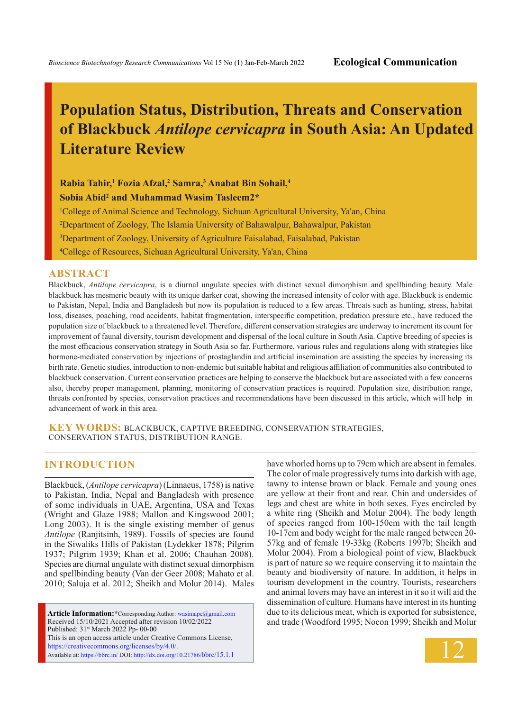# **Population Status, Distribution, Threats and Conservation of Blackbuck** *Antilope cervicapra* **in South Asia: An Updated Literature Review**

**Rabia Tahir,1 Fozia Afzal,2 Samra,3 Anabat Bin Sohail,4 Sobia Abid2 and Muhammad Wasim Tasleem2\***

 College of Animal Science and Technology, Sichuan Agricultural University, Ya'an, China Department of Zoology, The Islamia University of Bahawalpur, Bahawalpur, Pakistan Department of Zoology, University of Agriculture Faisalabad, Faisalabad, Pakistan College of Resources, Sichuan Agricultural University, Ya'an, China

#### **ABSTRACT**

Blackbuck, *Antilope cervicapra*, is a diurnal ungulate species with distinct sexual dimorphism and spellbinding beauty. Male blackbuck has mesmeric beauty with its unique darker coat, showing the increased intensity of color with age. Blackbuck is endemic to Pakistan, Nepal, India and Bangladesh but now its population is reduced to a few areas. Threats such as hunting, stress, habitat loss, diseases, poaching, road accidents, habitat fragmentation, interspecific competition, predation pressure etc., have reduced the population size of blackbuck to a threatened level. Therefore, different conservation strategies are underway to increment its count for improvement of faunal diversity, tourism development and dispersal of the local culture in South Asia. Captive breeding of species is the most efficacious conservation strategy in South Asia so far. Furthermore, various rules and regulations along with strategies like hormone-mediated conservation by injections of prostaglandin and artificial insemination are assisting the species by increasing its birth rate. Genetic studies, introduction to non-endemic but suitable habitat and religious affiliation of communities also contributed to blackbuck conservation. Current conservation practices are helping to conserve the blackbuck but are associated with a few concerns also, thereby proper management, planning, monitoring of conservation practices is required. Population size, distribution range, threats confronted by species, conservation practices and recommendations have been discussed in this article, which will help in advancement of work in this area.

**KEY WORDS:** Blackbuck, Captive breeding, Conservation strategies, Conservation status, Distribution range.

#### **INTRODUCTION**

Blackbuck, (*Antilope cervicapra*) (Linnaeus, 1758) is native to Pakistan, India, Nepal and Bangladesh with presence of some individuals in UAE, Argentina, USA and Texas (Wright and Glaze 1988; Mallon and Kingswood 2001; Long 2003). It is the single existing member of genus *Antilope* (Ranjitsinh, 1989). Fossils of species are found in the Siwaliks Hills of Pakistan (Lydekker 1878; Pilgrim 1937; Pilgrim 1939; Khan et al. 2006; Chauhan 2008). Species are diurnal ungulate with distinct sexual dimorphism and spellbinding beauty (Van der Geer 2008; Mahato et al. 2010; Saluja et al. 2012; Sheikh and Molur 2014). Males

**Article Information:\***Corresponding Author: wasimape@gmail.com Received 15/10/2021 Accepted after revision 10/02/2022 Published: 31st March 2022 Pp- 00-00 This is an open access article under Creative Commons License, https://creativecommons.org/licenses/by/4.0/. Available at: https://bbrc.in/ DOI: http://dx.doi.org/10.21786/bbrc/15.1.1

have whorled horns up to 79cm which are absent in females. The color of male progressively turns into darkish with age, tawny to intense brown or black. Female and young ones are yellow at their front and rear. Chin and undersides of legs and chest are white in both sexes. Eyes encircled by a white ring (Sheikh and Molur 2004). The body length of species ranged from 100-150cm with the tail length 10-17cm and body weight for the male ranged between 20- 57kg and of female 19-33kg (Roberts 1997b; Sheikh and Molur 2004). From a biological point of view, Blackbuck is part of nature so we require conserving it to maintain the beauty and biodiversity of nature. In addition, it helps in tourism development in the country. Tourists, researchers and animal lovers may have an interest in it so it will aid the dissemination of culture. Humans have interest in its hunting due to its delicious meat, which is exported for subsistence, and trade (Woodford 1995; Nocon 1999; Sheikh and Molur

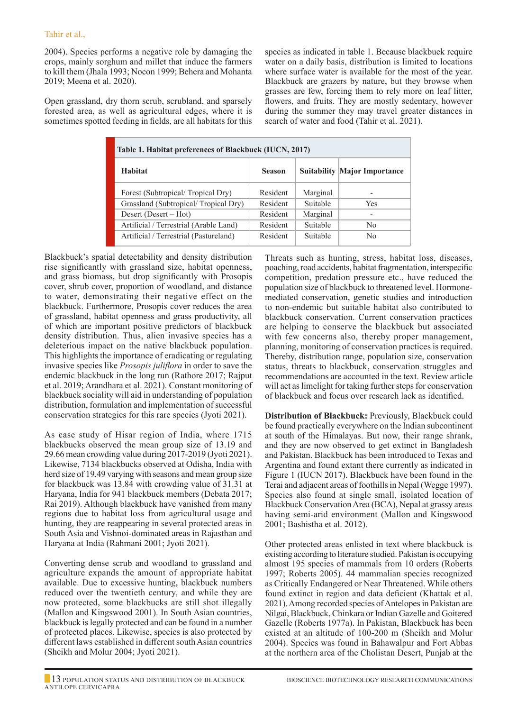2004). Species performs a negative role by damaging the crops, mainly sorghum and millet that induce the farmers to kill them (Jhala 1993; Nocon 1999; Behera and Mohanta 2019; Meena et al. 2020).

Open grassland, dry thorn scrub, scrubland, and sparsely forested area, as well as agricultural edges, where it is sometimes spotted feeding in fields, are all habitats for this species as indicated in table 1. Because blackbuck require water on a daily basis, distribution is limited to locations where surface water is available for the most of the year. Blackbuck are grazers by nature, but they browse when grasses are few, forcing them to rely more on leaf litter, flowers, and fruits. They are mostly sedentary, however during the summer they may travel greater distances in search of water and food (Tahir et al. 2021).

| Table 1. Habitat preferences of Blackbuck (IUCN, 2017) |               |          |                                     |  |  |  |
|--------------------------------------------------------|---------------|----------|-------------------------------------|--|--|--|
| Habitat                                                | <b>Season</b> |          | <b>Suitability Major Importance</b> |  |  |  |
| Forest (Subtropical/Tropical Dry)                      | Resident      | Marginal |                                     |  |  |  |
| Grassland (Subtropical/Tropical Dry)                   | Resident      | Suitable | <b>Yes</b>                          |  |  |  |
| Desert (Desert $-$ Hot)                                | Resident      | Marginal |                                     |  |  |  |
| Artificial / Terrestrial (Arable Land)                 | Resident      | Suitable | No.                                 |  |  |  |
| Artificial / Terrestrial (Pastureland)                 | Resident      | Suitable | N <sub>0</sub>                      |  |  |  |

Blackbuck's spatial detectability and density distribution rise significantly with grassland size, habitat openness, and grass biomass, but drop significantly with Prosopis cover, shrub cover, proportion of woodland, and distance to water, demonstrating their negative effect on the blackbuck. Furthermore, Prosopis cover reduces the area of grassland, habitat openness and grass productivity, all of which are important positive predictors of blackbuck density distribution. Thus, alien invasive species has a deleterious impact on the native blackbuck population. This highlights the importance of eradicating or regulating invasive species like *Prosopis juliflora* in order to save the endemic blackbuck in the long run (Rathore 2017; Rajput et al. 2019; Arandhara et al. 2021). Constant monitoring of blackbuck sociality will aid in understanding of population distribution, formulation and implementation of successful conservation strategies for this rare species (Jyoti 2021).

As case study of Hisar region of India, where 1715 blackbucks observed the mean group size of 13.19 and 29.66 mean crowding value during 2017-2019 (Jyoti 2021). Likewise, 7134 blackbucks observed at Odisha, India with herd size of 19.49 varying with seasons and mean group size for blackbuck was 13.84 with crowding value of 31.31 at Haryana, India for 941 blackbuck members (Debata 2017; Rai 2019). Although blackbuck have vanished from many regions due to habitat loss from agricultural usage and hunting, they are reappearing in several protected areas in South Asia and Vishnoi-dominated areas in Rajasthan and Haryana at India (Rahmani 2001; Jyoti 2021).

Converting dense scrub and woodland to grassland and agriculture expands the amount of appropriate habitat available. Due to excessive hunting, blackbuck numbers reduced over the twentieth century, and while they are now protected, some blackbucks are still shot illegally (Mallon and Kingswood 2001). In South Asian countries, blackbuck is legally protected and can be found in a number of protected places. Likewise, species is also protected by different laws established in different south Asian countries (Sheikh and Molur 2004; Jyoti 2021).

Threats such as hunting, stress, habitat loss, diseases, poaching, road accidents, habitat fragmentation, interspecific competition, predation pressure etc., have reduced the population size of blackbuck to threatened level. Hormonemediated conservation, genetic studies and introduction to non-endemic but suitable habitat also contributed to blackbuck conservation. Current conservation practices are helping to conserve the blackbuck but associated with few concerns also, thereby proper management, planning, monitoring of conservation practices is required. Thereby, distribution range, population size, conservation status, threats to blackbuck, conservation struggles and recommendations are accounted in the text. Review article will act as limelight for taking further steps for conservation of blackbuck and focus over research lack as identified.

**Distribution of Blackbuck:** Previously, Blackbuck could be found practically everywhere on the Indian subcontinent at south of the Himalayas. But now, their range shrank, and they are now observed to get extinct in Bangladesh and Pakistan. Blackbuck has been introduced to Texas and Argentina and found extant there currently as indicated in Figure 1 (IUCN 2017). Blackbuck have been found in the Terai and adjacent areas of foothills in Nepal (Wegge 1997). Species also found at single small, isolated location of Blackbuck Conservation Area (BCA), Nepal at grassy areas having semi-arid environment (Mallon and Kingswood 2001; Bashistha et al. 2012).

Other protected areas enlisted in text where blackbuck is existing according to literature studied. Pakistan is occupying almost 195 species of mammals from 10 orders (Roberts 1997; Roberts 2005). 44 mammalian species recognized as Critically Endangered or Near Threatened. While others found extinct in region and data deficient (Khattak et al. 2021). Among recorded species of Antelopes in Pakistan are Nilgai, Blackbuck, Chinkara or Indian Gazelle and Goitered Gazelle (Roberts 1977a). In Pakistan, Blackbuck has been existed at an altitude of 100-200 m (Sheikh and Molur 2004). Species was found in Bahawalpur and Fort Abbas at the northern area of the Cholistan Desert, Punjab at the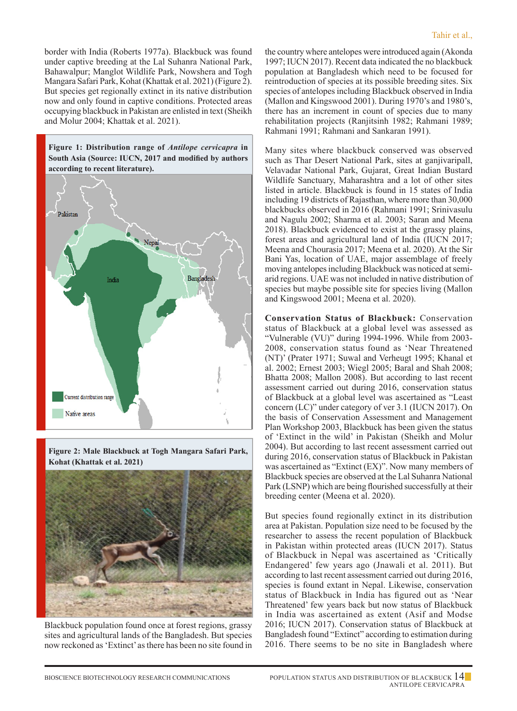border with India (Roberts 1977a). Blackbuck was found under captive breeding at the Lal Suhanra National Park, Bahawalpur; Manglot Wildlife Park, Nowshera and Togh Mangara Safari Park, Kohat (Khattak et al. 2021) (Figure 2). But species get regionally extinct in its native distribution now and only found in captive conditions. Protected areas occupying blackbuck in Pakistan are enlisted in text (Sheikh and Molur 2004; Khattak et al. 2021).







Blackbuck population found once at forest regions, grassy sites and agricultural lands of the Bangladesh. But species now reckoned as 'Extinct' as there has been no site found in

the country where antelopes were introduced again (Akonda 1997; IUCN 2017). Recent data indicated the no blackbuck population at Bangladesh which need to be focused for reintroduction of species at its possible breeding sites. Six species of antelopes including Blackbuck observed in India (Mallon and Kingswood 2001). During 1970's and 1980's, there has an increment in count of species due to many rehabilitation projects (Ranjitsinh 1982; Rahmani 1989; Rahmani 1991; Rahmani and Sankaran 1991).

Many sites where blackbuck conserved was observed such as Thar Desert National Park, sites at ganjivaripall, Velavadar National Park, Gujarat, Great Indian Bustard Wildlife Sanctuary, Maharashtra and a lot of other sites listed in article. Blackbuck is found in 15 states of India including 19 districts of Rajasthan, where more than 30,000 blackbucks observed in 2016 (Rahmani 1991; Srinivasulu and Nagulu 2002; Sharma et al. 2003; Saran and Meena 2018). Blackbuck evidenced to exist at the grassy plains, forest areas and agricultural land of India (IUCN 2017; Meena and Chourasia 2017; Meena et al. 2020). At the Sir Bani Yas, location of UAE, major assemblage of freely moving antelopes including Blackbuck was noticed at semiarid regions. UAE was not included in native distribution of species but maybe possible site for species living (Mallon and Kingswood 2001; Meena et al. 2020).

**Conservation Status of Blackbuck:** Conservation status of Blackbuck at a global level was assessed as "Vulnerable (VU)" during 1994-1996. While from 2003- 2008, conservation status found as 'Near Threatened (NT)' (Prater 1971; Suwal and Verheugt 1995; Khanal et al. 2002; Ernest 2003; Wiegl 2005; Baral and Shah 2008; Bhatta 2008; Mallon 2008). But according to last recent assessment carried out during 2016, conservation status of Blackbuck at a global level was ascertained as "Least concern (LC)" under category of ver 3.1 (IUCN 2017). On the basis of Conservation Assessment and Management Plan Workshop 2003, Blackbuck has been given the status of 'Extinct in the wild' in Pakistan (Sheikh and Molur 2004). But according to last recent assessment carried out during 2016, conservation status of Blackbuck in Pakistan was ascertained as "Extinct (EX)". Now many members of Blackbuck species are observed at the Lal Suhanra National Park (LSNP) which are being flourished successfully at their breeding center (Meena et al. 2020).

But species found regionally extinct in its distribution area at Pakistan. Population size need to be focused by the researcher to assess the recent population of Blackbuck in Pakistan within protected areas (IUCN 2017). Status of Blackbuck in Nepal was ascertained as 'Critically Endangered' few years ago (Jnawali et al. 2011). But according to last recent assessment carried out during 2016, species is found extant in Nepal. Likewise, conservation status of Blackbuck in India has figured out as 'Near Threatened' few years back but now status of Blackbuck in India was ascertained as extent (Asif and Modse 2016; IUCN 2017). Conservation status of Blackbuck at Bangladesh found "Extinct" according to estimation during 2016. There seems to be no site in Bangladesh where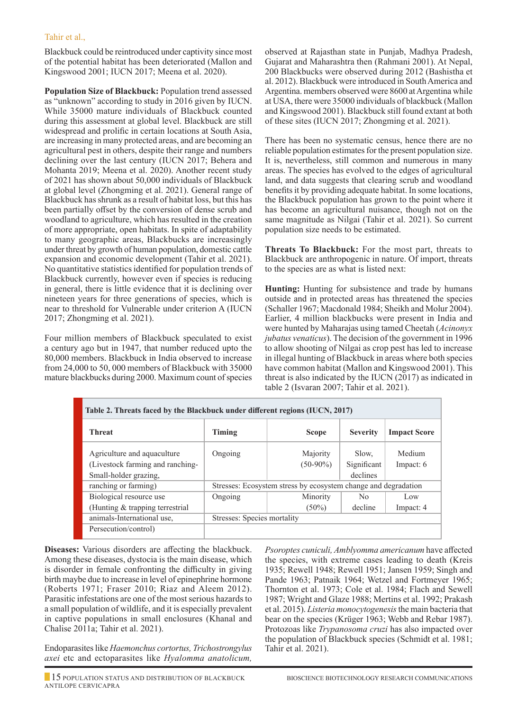Blackbuck could be reintroduced under captivity since most of the potential habitat has been deteriorated (Mallon and Kingswood 2001; IUCN 2017; Meena et al. 2020).

**Population Size of Blackbuck:** Population trend assessed as "unknown" according to study in 2016 given by IUCN. While 35000 mature individuals of Blackbuck counted during this assessment at global level. Blackbuck are still widespread and prolific in certain locations at South Asia, are increasing in many protected areas, and are becoming an agricultural pest in others, despite their range and numbers declining over the last century (IUCN 2017; Behera and Mohanta 2019; Meena et al. 2020). Another recent study of 2021 has shown about 50,000 individuals of Blackbuck at global level (Zhongming et al. 2021). General range of Blackbuck has shrunk as a result of habitat loss, but this has been partially offset by the conversion of dense scrub and woodland to agriculture, which has resulted in the creation of more appropriate, open habitats. In spite of adaptability to many geographic areas, Blackbucks are increasingly under threat by growth of human population, domestic cattle expansion and economic development (Tahir et al. 2021). No quantitative statistics identified for population trends of Blackbuck currently, however even if species is reducing in general, there is little evidence that it is declining over nineteen years for three generations of species, which is near to threshold for Vulnerable under criterion A (IUCN 2017; Zhongming et al. 2021).

Four million members of Blackbuck speculated to exist a century ago but in 1947, that number reduced upto the 80,000 members. Blackbuck in India observed to increase from 24,000 to 50, 000 members of Blackbuck with 35000 mature blackbucks during 2000. Maximum count of species observed at Rajasthan state in Punjab, Madhya Pradesh, Gujarat and Maharashtra then (Rahmani 2001). At Nepal, 200 Blackbucks were observed during 2012 (Bashistha et al. 2012). Blackbuck were introduced in South America and Argentina. members observed were 8600 at Argentina while at USA, there were 35000 individuals of blackbuck (Mallon and Kingswood 2001). Blackbuck still found extant at both of these sites (IUCN 2017; Zhongming et al. 2021).

There has been no systematic census, hence there are no reliable population estimates for the present population size. It is, nevertheless, still common and numerous in many areas. The species has evolved to the edges of agricultural land, and data suggests that clearing scrub and woodland benefits it by providing adequate habitat. In some locations, the Blackbuck population has grown to the point where it has become an agricultural nuisance, though not on the same magnitude as Nilgai (Tahir et al. 2021). So current population size needs to be estimated.

**Threats To Blackbuck:** For the most part, threats to Blackbuck are anthropogenic in nature. Of import, threats to the species are as what is listed next:

**Hunting:** Hunting for subsistence and trade by humans outside and in protected areas has threatened the species (Schaller 1967; Macdonald 1984; Sheikh and Molur 2004). Earlier, 4 million blackbucks were present in India and were hunted by Maharajas using tamed Cheetah (*Acinonyx jubatus venaticus*). The decision of the government in 1996 to allow shooting of Nilgai as crop pest has led to increase in illegal hunting of Blackbuck in areas where both species have common habitat (Mallon and Kingswood 2001). This threat is also indicated by the IUCN (2017) as indicated in table 2 (Isvaran 2007; Tahir et al. 2021).

| Table 2. Threats faced by the Blackbuck under different regions (IUCN, 2017)             |                                                                |                         |                                  |                     |  |  |  |
|------------------------------------------------------------------------------------------|----------------------------------------------------------------|-------------------------|----------------------------------|---------------------|--|--|--|
| <b>Threat</b>                                                                            | Timing                                                         | <b>Scope</b>            | <b>Severity</b>                  | <b>Impact Score</b> |  |  |  |
| Agriculture and aquaculture<br>(Livestock farming and ranching-<br>Small-holder grazing, | Ongoing                                                        | Majority<br>$(50-90\%)$ | Slow.<br>Significant<br>declines | Medium<br>Impact: 6 |  |  |  |
| ranching or farming)                                                                     | Stresses: Ecosystem stress by ecosystem change and degradation |                         |                                  |                     |  |  |  |
| Biological resource use                                                                  | Ongoing                                                        | Minority                | N <sub>0</sub>                   | Low                 |  |  |  |
| (Hunting & trapping terrestrial)                                                         |                                                                | $(50\%)$                | decline                          | Impact: 4           |  |  |  |
| animals-International use,                                                               | Stresses: Species mortality                                    |                         |                                  |                     |  |  |  |
| Persecution/control)                                                                     |                                                                |                         |                                  |                     |  |  |  |

**Diseases:** Various disorders are affecting the blackbuck. Among these diseases, dystocia is the main disease, which is disorder in female confronting the difficulty in giving birth maybe due to increase in level of epinephrine hormone (Roberts 1971; Fraser 2010; Riaz and Aleem 2012). Parasitic infestations are one of the most serious hazards to a small population of wildlife, and it is especially prevalent in captive populations in small enclosures (Khanal and Chalise 2011a; Tahir et al. 2021).

Endoparasites like *Haemonchus cortortus, Trichostrongylus axei* etc and ectoparasites like *Hyalomma anatolicum,* 

*Psoroptes cuniculi, Amblyomma americanum* have affected the species, with extreme cases leading to death (Kreis 1935; Rewell 1948; Rewell 1951; Jansen 1959; Singh and Pande 1963; Patnaik 1964; Wetzel and Fortmeyer 1965; Thornton et al. 1973; Cole et al. 1984; Flach and Sewell 1987; Wright and Glaze 1988; Mertins et al. 1992; Prakash et al. 2015). *Listeria monocytogenesis* the main bacteria that bear on the species (Krüger 1963; Webb and Rebar 1987). Protozoas like *Trypanosoma cruzi* has also impacted over the population of Blackbuck species (Schmidt et al. 1981; Tahir et al. 2021).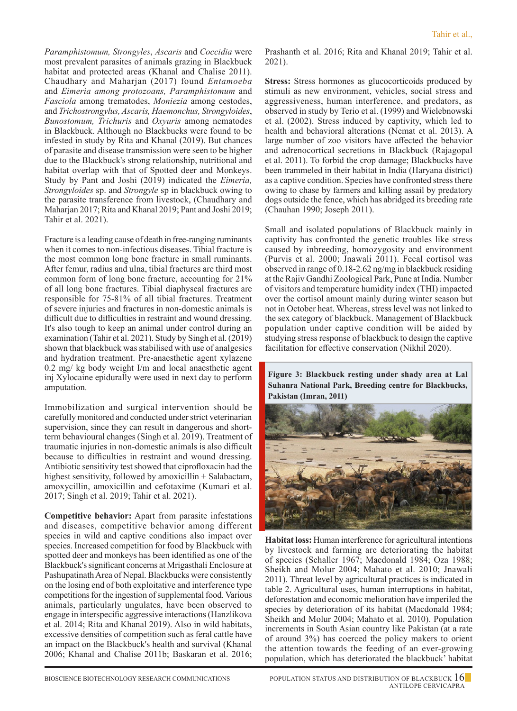*Paramphistomum, Strongyles*, *Ascaris* and *Coccidia* were most prevalent parasites of animals grazing in Blackbuck habitat and protected areas (Khanal and Chalise 2011). Chaudhary and Maharjan (2017) found *Entamoeba* and *Eimeria among protozoans, Paramphistomum* and *Fasciola* among trematodes, *Moniezia* among cestodes, and *Trichostrongylus, Ascaris, Haemonchus, Strongyloides*, *Bunostomum, Trichuris* and *Oxyuris* among nematodes in Blackbuck. Although no Blackbucks were found to be infested in study by Rita and Khanal (2019). But chances of parasite and disease transmission were seen to be higher due to the Blackbuck's strong relationship, nutritional and habitat overlap with that of Spotted deer and Monkeys. Study by Pant and Joshi (2019) indicated the *Eimeria, Strongyloides* sp. and *Strongyle* sp in blackbuck owing to the parasite transference from livestock, (Chaudhary and Maharjan 2017; Rita and Khanal 2019; Pant and Joshi 2019; Tahir et al. 2021).

Fracture is a leading cause of death in free-ranging ruminants when it comes to non-infectious diseases. Tibial fracture is the most common long bone fracture in small ruminants. After femur, radius and ulna, tibial fractures are third most common form of long bone fracture, accounting for 21% of all long bone fractures. Tibial diaphyseal fractures are responsible for 75-81% of all tibial fractures. Treatment of severe injuries and fractures in non-domestic animals is difficult due to difficulties in restraint and wound dressing. It's also tough to keep an animal under control during an examination (Tahir et al. 2021). Study by Singh et al. (2019) shown that blackbuck was stabilised with use of analgesics and hydration treatment. Pre-anaesthetic agent xylazene 0.2 mg/ kg body weight I/m and local anaesthetic agent inj Xylocaine epidurally were used in next day to perform amputation.

Immobilization and surgical intervention should be carefully monitored and conducted under strict veterinarian supervision, since they can result in dangerous and shortterm behavioural changes (Singh et al. 2019). Treatment of traumatic injuries in non-domestic animals is also difficult because to difficulties in restraint and wound dressing. Antibiotic sensitivity test showed that ciprofloxacin had the highest sensitivity, followed by amoxicillin + Salabactam, amoxycillin, amoxicillin and cefotaxime (Kumari et al. 2017; Singh et al. 2019; Tahir et al. 2021).

**Competitive behavior:** Apart from parasite infestations and diseases, competitive behavior among different species in wild and captive conditions also impact over species. Increased competition for food by Blackbuck with spotted deer and monkeys has been identified as one of the Blackbuck's significant concerns at Mrigasthali Enclosure at Pashupatinath Area of Nepal. Blackbucks were consistently on the losing end of both exploitative and interference type competitions for the ingestion of supplemental food. Various animals, particularly ungulates, have been observed to engage in interspecific aggressive interactions (Hanzlikova et al. 2014; Rita and Khanal 2019). Also in wild habitats, excessive densities of competition such as feral cattle have an impact on the Blackbuck's health and survival (Khanal 2006; Khanal and Chalise 2011b; Baskaran et al. 2016;

Prashanth et al. 2016; Rita and Khanal 2019; Tahir et al. 2021).

**Stress:** Stress hormones as glucocorticoids produced by stimuli as new environment, vehicles, social stress and aggressiveness, human interference, and predators, as observed in study by Terio et al. (1999) and Wielebnowski et al. (2002). Stress induced by captivity, which led to health and behavioral alterations (Nemat et al. 2013). A large number of zoo visitors have affected the behavior and adrenocortical secretions in Blackbuck (Rajagopal et al. 2011). To forbid the crop damage; Blackbucks have been trammeled in their habitat in India (Haryana district) as a captive condition. Species have confronted stress there owing to chase by farmers and killing assail by predatory dogs outside the fence, which has abridged its breeding rate (Chauhan 1990; Joseph 2011).

Small and isolated populations of Blackbuck mainly in captivity has confronted the genetic troubles like stress caused by inbreeding, homozygosity and environment (Purvis et al. 2000; Jnawali 2011). Fecal cortisol was observed in range of 0.18-2.62 ng/mg in blackbuck residing at the Rajiv Gandhi Zoological Park, Pune at India. Number of visitors and temperature humidity index (THI) impacted over the cortisol amount mainly during winter season but not in October heat. Whereas, stress level was not linked to the sex category of blackbuck. Management of Blackbuck population under captive condition will be aided by studying stress response of blackbuck to design the captive facilitation for effective conservation (Nikhil 2020).

**Figure 3: Blackbuck resting under shady area at Lal Suhanra National Park, Breeding centre for Blackbucks, Pakistan (Imran, 2011)**



**Habitat loss:** Human interference for agricultural intentions by livestock and farming are deteriorating the habitat of species (Schaller 1967; Macdonald 1984; Oza 1988; Sheikh and Molur 2004; Mahato et al. 2010; Jnawali 2011). Threat level by agricultural practices is indicated in table 2. Agricultural uses, human interruptions in habitat, deforestation and economic melioration have imperiled the species by deterioration of its habitat (Macdonald 1984; Sheikh and Molur 2004; Mahato et al. 2010). Population increments in South Asian country like Pakistan (at a rate of around 3%) has coerced the policy makers to orient the attention towards the feeding of an ever-growing population, which has deteriorated the blackbuck' habitat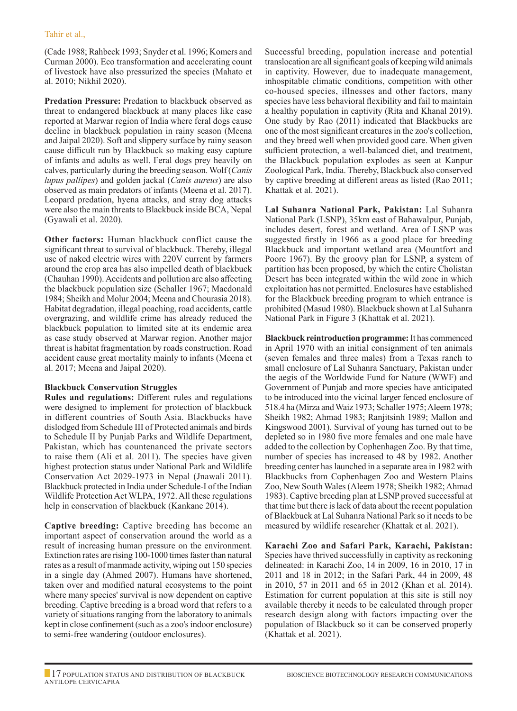(Cade 1988; Rahbeck 1993; Snyder et al. 1996; Komers and Curman 2000). Eco transformation and accelerating count of livestock have also pressurized the species (Mahato et al. 2010; Nikhil 2020).

**Predation Pressure:** Predation to blackbuck observed as threat to endangered blackbuck at many places like case reported at Marwar region of India where feral dogs cause decline in blackbuck population in rainy season (Meena and Jaipal 2020). Soft and slippery surface by rainy season cause difficult run by Blackbuck so making easy capture of infants and adults as well. Feral dogs prey heavily on calves, particularly during the breeding season. Wolf (*Canis lupus pallipes*) and golden jackal (*Canis aureus*) are also observed as main predators of infants (Meena et al. 2017). Leopard predation, hyena attacks, and stray dog attacks were also the main threats to Blackbuck inside BCA, Nepal (Gyawali et al. 2020).

**Other factors:** Human blackbuck conflict cause the significant threat to survival of blackbuck. Thereby, illegal use of naked electric wires with 220V current by farmers around the crop area has also impelled death of blackbuck (Chauhan 1990). Accidents and pollution are also affecting the blackbuck population size (Schaller 1967; Macdonald 1984; Sheikh and Molur 2004; Meena and Chourasia 2018). Habitat degradation, illegal poaching, road accidents, cattle overgrazing, and wildlife crime has already reduced the blackbuck population to limited site at its endemic area as case study observed at Marwar region. Another major threat is habitat fragmentation by roads construction. Road accident cause great mortality mainly to infants (Meena et al. 2017; Meena and Jaipal 2020).

#### **Blackbuck Conservation Struggles**

**Rules and regulations:** Different rules and regulations were designed to implement for protection of blackbuck in different countries of South Asia. Blackbucks have dislodged from Schedule III of Protected animals and birds to Schedule II by Punjab Parks and Wildlife Department, Pakistan, which has countenanced the private sectors to raise them (Ali et al. 2011). The species have given highest protection status under National Park and Wildlife Conservation Act 2029-1973 in Nepal (Jnawali 2011). Blackbuck protected in India under Schedule-I of the Indian Wildlife Protection Act WLPA, 1972. All these regulations help in conservation of blackbuck (Kankane 2014).

**Captive breeding:** Captive breeding has become an important aspect of conservation around the world as a result of increasing human pressure on the environment. Extinction rates are rising 100-1000 times faster than natural rates as a result of manmade activity, wiping out 150 species in a single day (Ahmed 2007). Humans have shortened, taken over and modified natural ecosystems to the point where many species' survival is now dependent on captive breeding. Captive breeding is a broad word that refers to a variety of situations ranging from the laboratory to animals kept in close confinement (such as a zoo's indoor enclosure) to semi-free wandering (outdoor enclosures).

Successful breeding, population increase and potential translocation are all significant goals of keeping wild animals in captivity. However, due to inadequate management, inhospitable climatic conditions, competition with other co-housed species, illnesses and other factors, many species have less behavioral flexibility and fail to maintain a healthy population in captivity (Rita and Khanal 2019). One study by Rao (2011) indicated that Blackbucks are one of the most significant creatures in the zoo's collection, and they breed well when provided good care. When given sufficient protection, a well-balanced diet, and treatment, the Blackbuck population explodes as seen at Kanpur Zoological Park, India. Thereby, Blackbuck also conserved by captive breeding at different areas as listed (Rao 2011; Khattak et al. 2021).

**Lal Suhanra National Park, Pakistan:** Lal Suhanra National Park (LSNP), 35km east of Bahawalpur, Punjab, includes desert, forest and wetland. Area of LSNP was suggested firstly in 1966 as a good place for breeding Blackbuck and important wetland area (Mountfort and Poore 1967). By the groovy plan for LSNP, a system of partition has been proposed, by which the entire Cholistan Desert has been integrated within the wild zone in which exploitation has not permitted. Enclosures have established for the Blackbuck breeding program to which entrance is prohibited (Masud 1980). Blackbuck shown at Lal Suhanra National Park in Figure 3 (Khattak et al. 2021).

**Blackbuck reintroduction programme:** It has commenced in April 1970 with an initial consignment of ten animals (seven females and three males) from a Texas ranch to small enclosure of Lal Suhanra Sanctuary, Pakistan under the aegis of the Worldwide Fund for Nature (WWF) and Government of Punjab and more species have anticipated to be introduced into the vicinal larger fenced enclosure of 518.4 ha (Mirza and Waiz 1973; Schaller 1975; Aleem 1978; Sheikh 1982; Ahmad 1983; Ranjitsinh 1989; Mallon and Kingswood 2001). Survival of young has turned out to be depleted so in 1980 five more females and one male have added to the collection by Cophenhagen Zoo. By that time, number of species has increased to 48 by 1982. Another breeding center has launched in a separate area in 1982 with Blackbucks from Cophenhagen Zoo and Western Plains Zoo, New South Wales (Aleem 1978; Sheikh 1982; Ahmad 1983). Captive breeding plan at LSNP proved successful at that time but there is lack of data about the recent population of Blackbuck at Lal Suhanra National Park so it needs to be measured by wildlife researcher (Khattak et al. 2021).

**Karachi Zoo and Safari Park, Karachi, Pakistan:** Species have thrived successfully in captivity as reckoning delineated: in Karachi Zoo, 14 in 2009, 16 in 2010, 17 in 2011 and 18 in 2012; in the Safari Park, 44 in 2009, 48 in 2010, 57 in 2011 and 65 in 2012 (Khan et al. 2014). Estimation for current population at this site is still noy available thereby it needs to be calculated through proper research design along with factors impacting over the population of Blackbuck so it can be conserved properly (Khattak et al. 2021).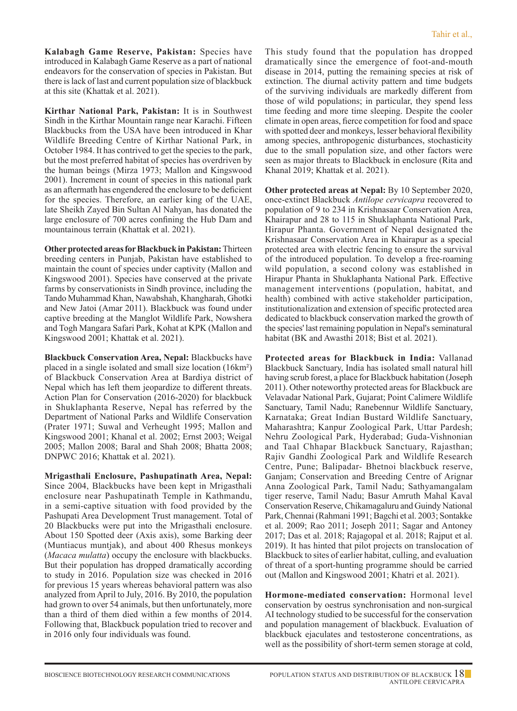**Kalabagh Game Reserve, Pakistan:** Species have introduced in Kalabagh Game Reserve as a part of national endeavors for the conservation of species in Pakistan. But there is lack of last and current population size of blackbuck at this site (Khattak et al. 2021).

**Kirthar National Park, Pakistan:** It is in Southwest Sindh in the Kirthar Mountain range near Karachi. Fifteen Blackbucks from the USA have been introduced in Khar Wildlife Breeding Centre of Kirthar National Park, in October 1984. It has contrived to get the species to the park, but the most preferred habitat of species has overdriven by the human beings (Mirza 1973; Mallon and Kingswood 2001). Increment in count of species in this national park as an aftermath has engendered the enclosure to be deficient for the species. Therefore, an earlier king of the UAE, late Sheikh Zayed Bin Sultan Al Nahyan, has donated the large enclosure of 700 acres confining the Hub Dam and mountainous terrain (Khattak et al. 2021).

**Other protected areas for Blackbuck in Pakistan:** Thirteen breeding centers in Punjab, Pakistan have established to maintain the count of species under captivity (Mallon and Kingswood 2001). Species have conserved at the private farms by conservationists in Sindh province, including the Tando Muhammad Khan, Nawabshah, Khangharah, Ghotki and New Jatoi (Amar 2011). Blackbuck was found under captive breeding at the Manglot Wildlife Park, Nowshera and Togh Mangara Safari Park, Kohat at KPK (Mallon and Kingswood 2001; Khattak et al. 2021).

**Blackbuck Conservation Area, Nepal:** Blackbucks have placed in a single isolated and small size location (16km²) of Blackbuck Conservation Area at Bardiya district of Nepal which has left them jeopardize to different threats. Action Plan for Conservation (2016-2020) for blackbuck in Shuklaphanta Reserve, Nepal has referred by the Department of National Parks and Wildlife Conservation (Prater 1971; Suwal and Verheught 1995; Mallon and Kingswood 2001; Khanal et al. 2002; Ernst 2003; Weigal 2005; Mallon 2008; Baral and Shah 2008; Bhatta 2008; DNPWC 2016; Khattak et al. 2021).

**Mrigasthali Enclosure, Pashupatinath Area, Nepal:** Since 2004, Blackbucks have been kept in Mrigasthali enclosure near Pashupatinath Temple in Kathmandu, in a semi-captive situation with food provided by the Pashupati Area Development Trust management. Total of 20 Blackbucks were put into the Mrigasthali enclosure. About 150 Spotted deer (Axis axis), some Barking deer (Muntiacus muntjak), and about 400 Rhesus monkeys (*Macaca mulatta*) occupy the enclosure with blackbucks. But their population has dropped dramatically according to study in 2016. Population size was checked in 2016 for previous 15 years whereas behavioral pattern was also analyzed from April to July, 2016. By 2010, the population had grown to over 54 animals, but then unfortunately, more than a third of them died within a few months of 2014. Following that, Blackbuck population tried to recover and in 2016 only four individuals was found.

This study found that the population has dropped dramatically since the emergence of foot-and-mouth disease in 2014, putting the remaining species at risk of extinction. The diurnal activity pattern and time budgets of the surviving individuals are markedly different from those of wild populations; in particular, they spend less time feeding and more time sleeping. Despite the cooler climate in open areas, fierce competition for food and space with spotted deer and monkeys, lesser behavioral flexibility among species, anthropogenic disturbances, stochasticity due to the small population size, and other factors were seen as major threats to Blackbuck in enclosure (Rita and Khanal 2019; Khattak et al. 2021).

**Other protected areas at Nepal:** By 10 September 2020, once-extinct Blackbuck *Antilope cervicapra* recovered to population of 9 to 234 in Krishnasaar Conservation Area, Khairapur and 28 to 115 in Shuklaphanta National Park, Hirapur Phanta. Government of Nepal designated the Krishnasaar Conservation Area in Khairapur as a special protected area with electric fencing to ensure the survival of the introduced population. To develop a free-roaming wild population, a second colony was established in Hirapur Phanta in Shuklaphanta National Park. Effective management interventions (population, habitat, and health) combined with active stakeholder participation, institutionalization and extension of specific protected area dedicated to blackbuck conservation marked the growth of the species' last remaining population in Nepal's seminatural habitat (BK and Awasthi 2018; Bist et al. 2021).

**Protected areas for Blackbuck in India:** Vallanad Blackbuck Sanctuary, India has isolated small natural hill having scrub forest, a place for Blackbuck habitation (Joseph 2011). Other noteworthy protected areas for Blackbuck are Velavadar National Park, Gujarat; Point Calimere Wildlife Sanctuary, Tamil Nadu; Ranebennur Wildlife Sanctuary, Karnataka; Great Indian Bustard Wildlife Sanctuary, Maharashtra; Kanpur Zoological Park, Uttar Pardesh; Nehru Zoological Park, Hyderabad; Guda-Vishnonian and Taal Chhapar Blackbuck Sanctuary, Rajasthan; Rajiv Gandhi Zoological Park and Wildlife Research Centre, Pune; Balipadar- Bhetnoi blackbuck reserve, Ganjam; Conservation and Breeding Centre of Arignar Anna Zoological Park, Tamil Nadu; Sathyamangalam tiger reserve, Tamil Nadu; Basur Amruth Mahal Kaval Conservation Reserve, Chikamagaluru and Guindy National Park, Chennai (Rahmani 1991; Bagchi et al. 2003; Sontakke et al. 2009; Rao 2011; Joseph 2011; Sagar and Antoney 2017; Das et al. 2018; Rajagopal et al. 2018; Rajput et al. 2019). It has hinted that pilot projects on translocation of Blackbuck to sites of earlier habitat, culling, and evaluation of threat of a sport-hunting programme should be carried out (Mallon and Kingswood 2001; Khatri et al. 2021).

**Hormone-mediated conservation:** Hormonal level conservation by oestrus synchronisation and non-surgical AI technology studied to be successful for the conservation and population management of blackbuck. Evaluation of blackbuck ejaculates and testosterone concentrations, as well as the possibility of short-term semen storage at cold,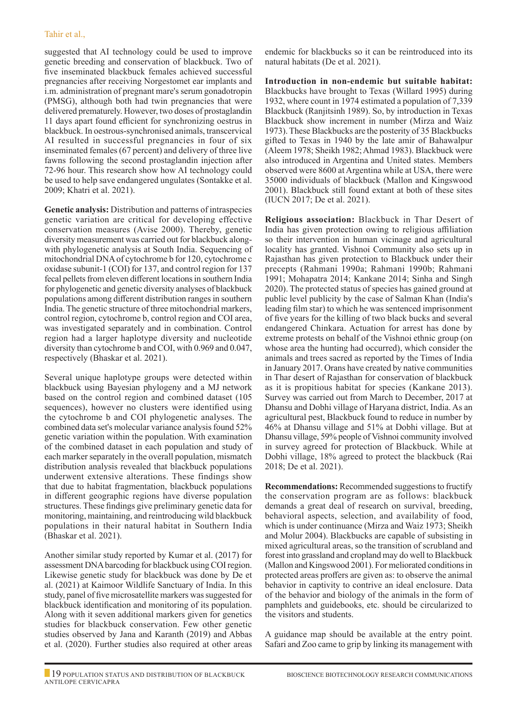suggested that AI technology could be used to improve genetic breeding and conservation of blackbuck. Two of five inseminated blackbuck females achieved successful pregnancies after receiving Norgestomet ear implants and i.m. administration of pregnant mare's serum gonadotropin (PMSG), although both had twin pregnancies that were delivered prematurely. However, two doses of prostaglandin 11 days apart found efficient for synchronizing oestrus in blackbuck. In oestrous-synchronised animals, transcervical AI resulted in successful pregnancies in four of six inseminated females (67 percent) and delivery of three live fawns following the second prostaglandin injection after 72-96 hour. This research show how AI technology could be used to help save endangered ungulates (Sontakke et al. 2009; Khatri et al. 2021).

**Genetic analysis:** Distribution and patterns of intraspecies genetic variation are critical for developing effective conservation measures (Avise 2000). Thereby, genetic diversity measurement was carried out for blackbuck alongwith phylogenetic analysis at South India. Sequencing of mitochondrial DNA of cytochrome b for 120, cytochrome c oxidase subunit-1 (COI) for 137, and control region for 137 fecal pellets from eleven different locations in southern India for phylogenetic and genetic diversity analyses of blackbuck populations among different distribution ranges in southern India. The genetic structure of three mitochondrial markers, control region, cytochrome b, control region and COI area, was investigated separately and in combination. Control region had a larger haplotype diversity and nucleotide diversity than cytochrome b and COI, with 0.969 and 0.047, respectively (Bhaskar et al. 2021).

Several unique haplotype groups were detected within blackbuck using Bayesian phylogeny and a MJ network based on the control region and combined dataset (105 sequences), however no clusters were identified using the cytochrome b and COI phylogenetic analyses. The combined data set's molecular variance analysis found 52% genetic variation within the population. With examination of the combined dataset in each population and study of each marker separately in the overall population, mismatch distribution analysis revealed that blackbuck populations underwent extensive alterations. These findings show that due to habitat fragmentation, blackbuck populations in different geographic regions have diverse population structures. These findings give preliminary genetic data for monitoring, maintaining, and reintroducing wild blackbuck populations in their natural habitat in Southern India (Bhaskar et al. 2021).

Another similar study reported by Kumar et al. (2017) for assessment DNA barcoding for blackbuck using COI region. Likewise genetic study for blackbuck was done by De et al. (2021) at Kaimoor Wildlife Sanctuary of India. In this study, panel of five microsatellite markers was suggested for blackbuck identification and monitoring of its population. Along with it seven additional markers given for genetics studies for blackbuck conservation. Few other genetic studies observed by Jana and Karanth (2019) and Abbas et al. (2020). Further studies also required at other areas

endemic for blackbucks so it can be reintroduced into its natural habitats (De et al. 2021).

**Introduction in non-endemic but suitable habitat:** Blackbucks have brought to Texas (Willard 1995) during 1932, where count in 1974 estimated a population of 7,339 Blackbuck (Ranjitsinh 1989). So, by introduction in Texas Blackbuck show increment in number (Mirza and Waiz 1973). These Blackbucks are the posterity of 35 Blackbucks gifted to Texas in 1940 by the late amir of Bahawalpur (Aleem 1978; Sheikh 1982; Ahmad 1983). Blackbuck were also introduced in Argentina and United states. Members observed were 8600 at Argentina while at USA, there were 35000 individuals of blackbuck (Mallon and Kingswood 2001). Blackbuck still found extant at both of these sites (IUCN 2017; De et al. 2021).

**Religious association:** Blackbuck in Thar Desert of India has given protection owing to religious affiliation so their intervention in human vicinage and agricultural locality has granted. Vishnoi Community also sets up in Rajasthan has given protection to Blackbuck under their precepts (Rahmani 1990a; Rahmani 1990b; Rahmani 1991; Mohapatra 2014; Kankane 2014; Sinha and Singh 2020). The protected status of species has gained ground at public level publicity by the case of Salman Khan (India's leading film star) to which he was sentenced imprisonment of five years for the killing of two black bucks and several endangered Chinkara. Actuation for arrest has done by extreme protests on behalf of the Vishnoi ethnic group (on whose area the hunting had occurred), which consider the animals and trees sacred as reported by the Times of India in January 2017. Orans have created by native communities in Thar desert of Rajasthan for conservation of blackbuck as it is propitious habitat for species (Kankane 2013). Survey was carried out from March to December, 2017 at Dhansu and Dobhi village of Haryana district, India. As an agricultural pest, Blackbuck found to reduce in number by 46% at Dhansu village and 51% at Dobhi village. But at Dhansu village, 59% people of Vishnoi community involved in survey agreed for protection of Blackbuck. While at Dobhi village, 18% agreed to protect the blackbuck (Rai 2018; De et al. 2021).

**Recommendations:** Recommended suggestions to fructify the conservation program are as follows: blackbuck demands a great deal of research on survival, breeding, behavioral aspects, selection, and availability of food, which is under continuance (Mirza and Waiz 1973; Sheikh and Molur 2004). Blackbucks are capable of subsisting in mixed agricultural areas, so the transition of scrubland and forest into grassland and cropland may do well to Blackbuck (Mallon and Kingswood 2001). For meliorated conditions in protected areas proffers are given as: to observe the animal behavior in captivity to contrive an ideal enclosure. Data of the behavior and biology of the animals in the form of pamphlets and guidebooks, etc. should be circularized to the visitors and students.

A guidance map should be available at the entry point. Safari and Zoo came to grip by linking its management with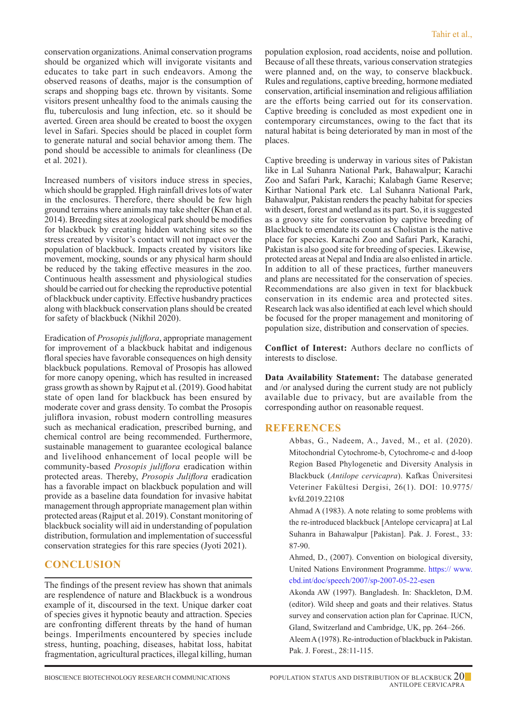conservation organizations. Animal conservation programs should be organized which will invigorate visitants and educates to take part in such endeavors. Among the observed reasons of deaths, major is the consumption of scraps and shopping bags etc. thrown by visitants. Some visitors present unhealthy food to the animals causing the flu, tuberculosis and lung infection, etc. so it should be averted. Green area should be created to boost the oxygen level in Safari. Species should be placed in couplet form to generate natural and social behavior among them. The pond should be accessible to animals for cleanliness (De et al. 2021).

Increased numbers of visitors induce stress in species, which should be grappled. High rainfall drives lots of water in the enclosures. Therefore, there should be few high ground terrains where animals may take shelter (Khan et al. 2014). Breeding sites at zoological park should be modifies for blackbuck by creating hidden watching sites so the stress created by visitor's contact will not impact over the population of blackbuck. Impacts created by visitors like movement, mocking, sounds or any physical harm should be reduced by the taking effective measures in the zoo. Continuous health assessment and physiological studies should be carried out for checking the reproductive potential of blackbuck under captivity. Effective husbandry practices along with blackbuck conservation plans should be created for safety of blackbuck (Nikhil 2020).

Eradication of *Prosopis juliflora*, appropriate management for improvement of a blackbuck habitat and indigenous floral species have favorable consequences on high density blackbuck populations. Removal of Prosopis has allowed for more canopy opening, which has resulted in increased grass growth as shown by Rajput et al. (2019). Good habitat state of open land for blackbuck has been ensured by moderate cover and grass density. To combat the Prosopis juliflora invasion, robust modern controlling measures such as mechanical eradication, prescribed burning, and chemical control are being recommended. Furthermore, sustainable management to guarantee ecological balance and livelihood enhancement of local people will be community-based *Prosopis juliflora* eradication within protected areas. Thereby, *Prosopis Juliflora* eradication has a favorable impact on blackbuck population and will provide as a baseline data foundation for invasive habitat management through appropriate management plan within protected areas (Rajput et al. 2019). Constant monitoring of blackbuck sociality will aid in understanding of population distribution, formulation and implementation of successful conservation strategies for this rare species (Jyoti 2021).

## **CONCLUSION**

The findings of the present review has shown that animals are resplendence of nature and Blackbuck is a wondrous example of it, discoursed in the text. Unique darker coat of species gives it hypnotic beauty and attraction. Species are confronting different threats by the hand of human beings. Imperilments encountered by species include stress, hunting, poaching, diseases, habitat loss, habitat fragmentation, agricultural practices, illegal killing, human population explosion, road accidents, noise and pollution. Because of all these threats, various conservation strategies were planned and, on the way, to conserve blackbuck. Rules and regulations, captive breeding, hormone mediated conservation, artificial insemination and religious affiliation are the efforts being carried out for its conservation. Captive breeding is concluded as most expedient one in contemporary circumstances, owing to the fact that its natural habitat is being deteriorated by man in most of the places.

Captive breeding is underway in various sites of Pakistan like in Lal Suhanra National Park, Bahawalpur; Karachi Zoo and Safari Park, Karachi; Kalabagh Game Reserve; Kirthar National Park etc. Lal Suhanra National Park, Bahawalpur, Pakistan renders the peachy habitat for species with desert, forest and wetland as its part. So, it is suggested as a groovy site for conservation by captive breeding of Blackbuck to emendate its count as Cholistan is the native place for species. Karachi Zoo and Safari Park, Karachi, Pakistan is also good site for breeding of species. Likewise, protected areas at Nepal and India are also enlisted in article. In addition to all of these practices, further maneuvers and plans are necessitated for the conservation of species. Recommendations are also given in text for blackbuck conservation in its endemic area and protected sites. Research lack was also identified at each level which should be focused for the proper management and monitoring of population size, distribution and conservation of species.

**Conflict of Interest:** Authors declare no conflicts of interests to disclose.

**Data Availability Statement:** The database generated and /or analysed during the current study are not publicly available due to privacy, but are available from the corresponding author on reasonable request.

### **REFERENCES**

Abbas, G., Nadeem, A., Javed, M., et al. (2020). Mitochondrial Cytochrome-b, Cytochrome-c and d-loop Region Based Phylogenetic and Diversity Analysis in Blackbuck (*Antilope cervicapra*). Kafkas Üniversitesi Veteriner Fakültesi Dergisi, 26(1). DOI: 10.9775/ kvfd.2019.22108

Ahmad A (1983). A note relating to some problems with the re-introduced blackbuck [Antelope cervicapra] at Lal Suhanra in Bahawalpur [Pakistan]. Pak. J. Forest., 33: 87-90.

Ahmed, D., (2007). Convention on biological diversity, United Nations Environment Programme. https:// www. cbd.int/doc/speech/2007/sp-2007-05-22-esen

Akonda AW (1997). Bangladesh. In: Shackleton, D.M. (editor). Wild sheep and goats and their relatives. Status survey and conservation action plan for Caprinae. IUCN, Gland, Switzerland and Cambridge, UK, pp. 264–266. Aleem A (1978). Re-introduction of blackbuck in Pakistan. Pak. J. Forest., 28:11-115.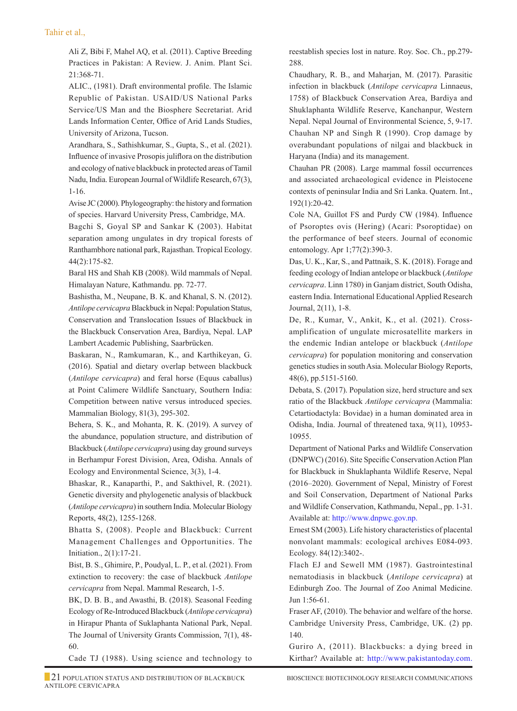Ali Z, Bibi F, Mahel AQ, et al. (2011). Captive Breeding Practices in Pakistan: A Review. J. Anim. Plant Sci. 21:368-71.

ALIC., (1981). Draft environmental profile. The Islamic Republic of Pakistan. USAID/US National Parks Service/US Man and the Biosphere Secretariat. Arid Lands Information Center, Office of Arid Lands Studies, University of Arizona, Tucson.

Arandhara, S., Sathishkumar, S., Gupta, S., et al. (2021). Influence of invasive Prosopis juliflora on the distribution and ecology of native blackbuck in protected areas of Tamil Nadu, India. European Journal of Wildlife Research, 67(3), 1-16.

Avise JC (2000). Phylogeography: the history and formation of species. Harvard University Press, Cambridge, MA.

Bagchi S, Goyal SP and Sankar K (2003). Habitat separation among ungulates in dry tropical forests of Ranthambhore national park, Rajasthan. Tropical Ecology. 44(2):175-82.

Baral HS and Shah KB (2008). Wild mammals of Nepal. Himalayan Nature, Kathmandu. pp. 72-77.

Bashistha, M., Neupane, B. K. and Khanal, S. N. (2012). *Antilope cervicapra* Blackbuck in Nepal: Population Status, Conservation and Translocation Issues of Blackbuck in the Blackbuck Conservation Area, Bardiya, Nepal. LAP Lambert Academic Publishing, Saarbrücken.

Baskaran, N., Ramkumaran, K., and Karthikeyan, G. (2016). Spatial and dietary overlap between blackbuck (*Antilope cervicapra*) and feral horse (Equus caballus) at Point Calimere Wildlife Sanctuary, Southern India: Competition between native versus introduced species. Mammalian Biology, 81(3), 295-302.

Behera, S. K., and Mohanta, R. K. (2019). A survey of the abundance, population structure, and distribution of Blackbuck (*Antilope cervicapra*) using day ground surveys in Berhampur Forest Division, Area, Odisha. Annals of Ecology and Environmental Science, 3(3), 1-4.

Bhaskar, R., Kanaparthi, P., and Sakthivel, R. (2021). Genetic diversity and phylogenetic analysis of blackbuck (*Antilope cervicapra*) in southern India. Molecular Biology Reports, 48(2), 1255-1268.

Bhatta S, (2008). People and Blackbuck: Current Management Challenges and Opportunities. The Initiation., 2(1):17-21.

Bist, B. S., Ghimire, P., Poudyal, L. P., et al. (2021). From extinction to recovery: the case of blackbuck *Antilope cervicapra* from Nepal. Mammal Research, 1-5.

BK, D. B. B., and Awasthi, B. (2018). Seasonal Feeding Ecology of Re-Introduced Blackbuck (*Antilope cervicapra*) in Hirapur Phanta of Suklaphanta National Park, Nepal. The Journal of University Grants Commission, 7(1), 48- 60.

Cade TJ (1988). Using science and technology to

reestablish species lost in nature. Roy. Soc. Ch., pp.279- 288.

Chaudhary, R. B., and Maharjan, M. (2017). Parasitic infection in blackbuck (*Antilope cervicapra* Linnaeus, 1758) of Blackbuck Conservation Area, Bardiya and Shuklaphanta Wildlife Reserve, Kanchanpur, Western Nepal. Nepal Journal of Environmental Science, 5, 9-17. Chauhan NP and Singh R (1990). Crop damage by overabundant populations of nilgai and blackbuck in Haryana (India) and its management.

Chauhan PR (2008). Large mammal fossil occurrences and associated archaeological evidence in Pleistocene contexts of peninsular India and Sri Lanka. Quatern. Int., 192(1):20-42.

Cole NA, Guillot FS and Purdy CW (1984). Influence of Psoroptes ovis (Hering) (Acari: Psoroptidae) on the performance of beef steers. Journal of economic entomology. Apr 1;77(2):390-3.

 Das, U. K., Kar, S., and Pattnaik, S. K. (2018). Forage and feeding ecology of Indian antelope or blackbuck (*Antilope cervicapra*. Linn 1780) in Ganjam district, South Odisha, eastern India. International Educational Applied Research Journal, 2(11), 1-8.

 De, R., Kumar, V., Ankit, K., et al. (2021). Crossamplification of ungulate microsatellite markers in the endemic Indian antelope or blackbuck (*Antilope cervicapra*) for population monitoring and conservation genetics studies in south Asia. Molecular Biology Reports, 48(6), pp.5151-5160.

 Debata, S. (2017). Population size, herd structure and sex ratio of the Blackbuck *Antilope cervicapra* (Mammalia: Cetartiodactyla: Bovidae) in a human dominated area in Odisha, India. Journal of threatened taxa, 9(11), 10953- 10955.

 Department of National Parks and Wildlife Conservation (DNPWC) (2016). Site Specific Conservation Action Plan for Blackbuck in Shuklaphanta Wildlife Reserve, Nepal (2016–2020). Government of Nepal, Ministry of Forest and Soil Conservation, Department of National Parks and Wildlife Conservation, Kathmandu, Nepal., pp. 1-31. Available at: http://www.dnpwc.gov.np.

 Ernest SM (2003). Life history characteristics of placental nonvolant mammals: ecological archives E084‐093. Ecology. 84(12):3402-.

Flach EJ and Sewell MM (1987). Gastrointestinal nematodiasis in blackbuck (*Antilope cervicapra*) at Edinburgh Zoo. The Journal of Zoo Animal Medicine. Jun 1:56-61.

Fraser AF, (2010). The behavior and welfare of the horse. Cambridge University Press, Cambridge, UK. (2) pp. 140.

Guriro A, (2011). Blackbucks: a dying breed in Kirthar? Available at: http://www.pakistantoday.com.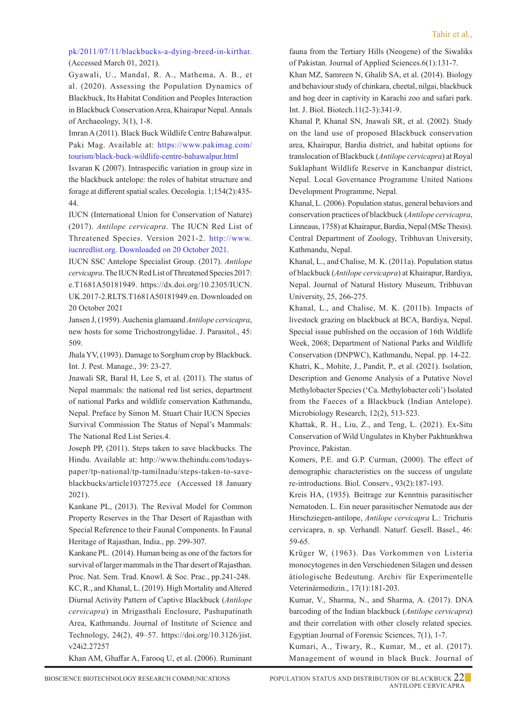#### pk/2011/07/11/blackbucks-a-dying-breed-in-kirthar. (Accessed March 01, 2021).

Gyawali, U., Mandal, R. A., Mathema, A. B., et al. (2020). Assessing the Population Dynamics of Blackbuck, Its Habitat Condition and Peoples Interaction in Blackbuck Conservation Area, Khairapur Nepal. Annals of Archaeology, 3(1), 1-8.

 Imran A (2011). Black Buck Wildlife Centre Bahawalpur. Paki Mag. Available at: https://www.pakimag.com/ tourism/black-buck-wildlife-centre-bahawalpur.html

 Isvaran K (2007). Intraspecific variation in group size in the blackbuck antelope: the roles of habitat structure and forage at different spatial scales. Oecologia. 1;154(2):435- 44.

 IUCN (International Union for Conservation of Nature) (2017). *Antilope cervicapra*. The IUCN Red List of Threatened Species. Version 2021-2. http://www. iucnredlist.org. Downloaded on 20 October 2021.

 IUCN SSC Antelope Specialist Group. (2017). *Antilope cervicapra*. The IUCNRed List of Threatened Species 2017: e.T1681A50181949. https://dx.doi.org/10.2305/IUCN. UK.2017-2.RLTS.T1681A50181949.en. Downloaded on 20 October 2021

Jansen J, (1959). Auchenia glamaand *Antilope cervicapra*, new hosts for some Trichostrongylidae. J. Parasitol., 45: 509.

Jhala YV, (1993). Damage to Sorghum crop by Blackbuck. Int. J. Pest. Manage., 39: 23-27.

Jnawali SR, Baral H, Lee S, et al. (2011). The status of Nepal mammals: the national red list series, department of national Parks and wildlife conservation Kathmandu, Nepal. Preface by Simon M. Stuart Chair IUCN Species Survival Commission The Status of Nepal's Mammals: The National Red List Series.4.

Joseph PP, (2011). Steps taken to save blackbucks. The Hindu. Available at: http://www.thehindu.com/todayspaper/tp-national/tp-tamilnadu/steps-taken-to-saveblackbucks/article1037275.ece (Accessed 18 January 2021).

 Kankane PL, (2013). The Revival Model for Common Property Reserves in the Thar Desert of Rajasthan with Special Reference to their Faunal Components. In Faunal Heritage of Rajasthan, India., pp. 299-307.

 Kankane PL. (2014). Human being as one of the factors for survival of larger mammals in the Thar desert of Rajasthan. Proc. Nat. Sem. Trad. Knowl. & Soc. Prac., pp.241-248. KC, R., and Khanal, L. (2019). High Mortality and Altered Diurnal Activity Pattern of Captive Blackbuck (*Antilope cervicapra*) in Mrigasthali Enclosure, Pashupatinath Area, Kathmandu. Journal of Institute of Science and Technology, 24(2), 49–57. https://doi.org/10.3126/jist. v24i2.27257

Khan AM, Ghaffar A, Farooq U, et al. (2006). Ruminant

fauna from the Tertiary Hills (Neogene) of the Siwaliks of Pakistan. Journal of Applied Sciences.6(1):131-7.

 Khan MZ, Samreen N, Ghalib SA, et al. (2014). Biology and behaviour study of chinkara, cheetal, nilgai, blackbuck and hog deer in captivity in Karachi zoo and safari park. Int. J. Biol. Biotech.11(2-3):341-9.

 Khanal P, Khanal SN, Jnawali SR, et al. (2002). Study on the land use of proposed Blackbuck conservation area, Khairapur, Bardia district, and habitat options for translocation of Blackbuck (*Antilope cervicapra*) at Royal Suklaphant Wildlife Reserve in Kanchanpur district, Nepal. Local Governance Programme United Nations Development Programme, Nepal.

 Khanal, L. (2006). Population status, general behaviors and conservation practices of blackbuck (*Antilope cervicapra*, Linneaus, 1758) at Khairapur, Bardia, Nepal (MSc Thesis). Central Department of Zoology, Tribhuvan University, Kathmandu, Nepal.

 Khanal, L., and Chalise, M. K. (2011a). Population status of blackbuck (*Antilope cervicapra*) at Khairapur, Bardiya, Nepal. Journal of Natural History Museum, Tribhuvan University, 25, 266-275.

 Khanal, L., and Chalise, M. K. (2011b). Impacts of livestock grazing on blackbuck at BCA, Bardiya, Nepal. Special issue published on the occasion of 16th Wildlife Week, 2068; Department of National Parks and Wildlife Conservation (DNPWC), Kathmandu, Nepal. pp. 14-22. Khatri, K., Mohite, J., Pandit, P., et al. (2021). Isolation, Description and Genome Analysis of a Putative Novel Methylobacter Species ('Ca. Methylobacter coli') Isolated from the Faeces of a Blackbuck (Indian Antelope). Microbiology Research, 12(2), 513-523.

 Khattak, R. H., Liu, Z., and Teng, L. (2021). Ex-Situ Conservation of Wild Ungulates in Khyber Pakhtunkhwa Province, Pakistan.

 Komers, P.E. and G.P. Curman, (2000). The effect of demographic characteristics on the success of ungulate re-introductions. Biol. Conserv., 93(2):187-193.

 Kreis HA, (1935). Beitrage zur Kenntnis parasitischer Nematoden. L. Ein neuer parasitischer Nematode aus der Hirschziegen-antilope, *Antilope cervicapra* L.: Trichuris cervicapra, n. sp. Verhandl. Naturf. Gesell. Basel., 46: 59-65.

 Krüger W, (1963). Das Vorkommen von Listeria monocytogenes in den Verschiedenen Silagen und dessen ätiologische Bedeutung. Archiv für Experimentelle Veterinärmedizin., 17(1):181-203.

 Kumar, V., Sharma, N., and Sharma, A. (2017). DNA barcoding of the Indian blackbuck (*Antilope cervicapra*) and their correlation with other closely related species. Egyptian Journal of Forensic Sciences, 7(1), 1-7.

 Kumari, A., Tiwary, R., Kumar, M., et al. (2017). Management of wound in black Buck. Journal of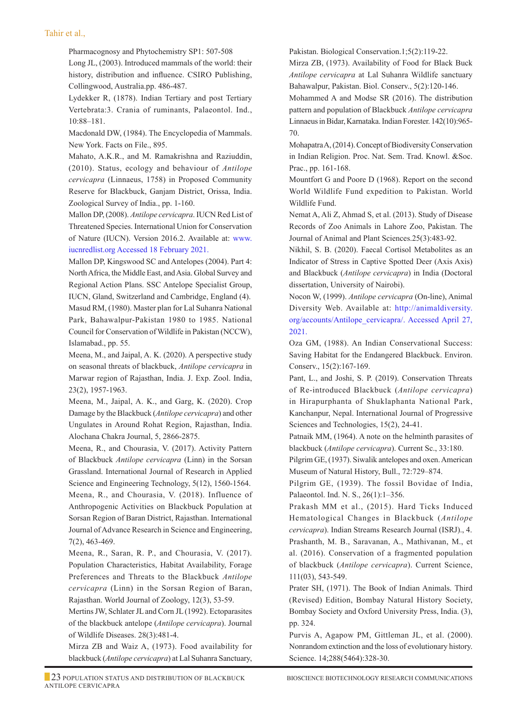Pharmacognosy and Phytochemistry SP1: 507-508 Long JL, (2003). Introduced mammals of the world: their history, distribution and influence. CSIRO Publishing, Collingwood, Australia.pp. 486-487.

 Lydekker R, (1878). Indian Tertiary and post Tertiary Vertebrata:3. Crania of ruminants, Palaeontol. Ind., 10:88–181.

Macdonald DW, (1984). The Encyclopedia of Mammals. New York. Facts on File., 895.

Mahato, A.K.R., and M. Ramakrishna and Raziuddin, (2010). Status, ecology and behaviour of *Antilope cervicapra* (Linnaeus, 1758) in Proposed Community Reserve for Blackbuck, Ganjam District, Orissa, India. Zoological Survey of India., pp. 1-160.

Mallon DP, (2008). *Antilope cervicapra*. IUCN Red List of Threatened Species. International Union for Conservation of Nature (IUCN). Version 2016.2. Available at: www. iucnredlist.org Accessed 18 February 2021.

Mallon DP, Kingswood SC and Antelopes (2004). Part 4: North Africa, the Middle East, and Asia. Global Survey and Regional Action Plans. SSC Antelope Specialist Group, IUCN, Gland, Switzerland and Cambridge, England (4). Masud RM, (1980). Master plan for Lal Suhanra National Park, Bahawalpur-Pakistan 1980 to 1985. National Council for Conservation of Wildlife in Pakistan (NCCW), Islamabad., pp. 55.

Meena, M., and Jaipal, A. K. (2020). A perspective study on seasonal threats of blackbuck, *Antilope cervicapra* in Marwar region of Rajasthan, India. J. Exp. Zool. India, 23(2), 1957-1963.

Meena, M., Jaipal, A. K., and Garg, K. (2020). Crop Damage by the Blackbuck (*Antilope cervicapra*) and other Ungulates in Around Rohat Region, Rajasthan, India. Alochana Chakra Journal, 5, 2866-2875.

Meena, R., and Chourasia, V. (2017). Activity Pattern of Blackbuck *Antilope cervicapra* (Linn) in the Sorsan Grassland. International Journal of Research in Applied Science and Engineering Technology, 5(12), 1560-1564. Meena, R., and Chourasia, V. (2018). Influence of Anthropogenic Activities on Blackbuck Population at Sorsan Region of Baran District, Rajasthan. International Journal of Advance Research in Science and Engineering, 7(2), 463-469.

Meena, R., Saran, R. P., and Chourasia, V. (2017). Population Characteristics, Habitat Availability, Forage Preferences and Threats to the Blackbuck *Antilope cervicapra* (Linn) in the Sorsan Region of Baran, Rajasthan. World Journal of Zoology, 12(3), 53-59.

Mertins JW, Schlater JL and Corn JL (1992). Ectoparasites of the blackbuck antelope (*Antilope cervicapra*). Journal of Wildlife Diseases. 28(3):481-4.

Mirza ZB and Waiz A, (1973). Food availability for blackbuck (*Antilope cervicapra*) at Lal Suhanra Sanctuary,

Pakistan. Biological Conservation.1;5(2):119-22.

Mirza ZB, (1973). Availability of Food for Black Buck *Antilope cervicapra* at Lal Suhanra Wildlife sanctuary Bahawalpur, Pakistan. Biol. Conserv., 5(2):120-146.

Mohammed A and Modse SR (2016). The distribution pattern and population of Blackbuck *Antilope cervicapra* Linnaeus in Bidar, Karnataka. Indian Forester. 142(10):965- 70.

Mohapatra A, (2014). Concept of Biodiversity Conservation in Indian Religion. Proc. Nat. Sem. Trad. Knowl. &Soc. Prac., pp. 161-168.

Mountfort G and Poore D (1968). Report on the second World Wildlife Fund expedition to Pakistan. World Wildlife Fund.

 Nemat A, Ali Z, Ahmad S, et al. (2013). Study of Disease Records of Zoo Animals in Lahore Zoo, Pakistan. The Journal of Animal and Plant Sciences.25(3):483-92.

 Nikhil, S. B. (2020). Faecal Cortisol Metabolites as an Indicator of Stress in Captive Spotted Deer (Axis Axis) and Blackbuck (*Antilope cervicapra*) in India (Doctoral dissertation, University of Nairobi).

Nocon W, (1999). *Antilope cervicapra* (On-line), Animal Diversity Web. Available at: http://animaldiversity. org/accounts/Antilope\_cervicapra/. Accessed April 27, 2021.

 Oza GM, (1988). An Indian Conservational Success: Saving Habitat for the Endangered Blackbuck. Environ. Conserv., 15(2):167-169.

Pant, L., and Joshi, S. P. (2019). Conservation Threats of Re-introduced Blackbuck (*Antilope cervicapra*) in Hirapurphanta of Shuklaphanta National Park, Kanchanpur, Nepal. International Journal of Progressive Sciences and Technologies, 15(2), 24-41.

Patnaik MM, (1964). A note on the helminth parasites of blackbuck (*Antilope cervicapra*). Current Sc., 33:180.

Pilgrim GE, (1937). Siwalik antelopes and oxen. American Museum of Natural History, Bull., 72:729–874.

Pilgrim GE, (1939). The fossil Bovidae of India, Palaeontol. Ind. N. S., 26(1):1–356.

Prakash MM et al., (2015). Hard Ticks Induced Hematological Changes in Blackbuck (*Antilope cervicapra*). Indian Streams Research Journal (ISRJ)., 4. Prashanth, M. B., Saravanan, A., Mathivanan, M., et al. (2016). Conservation of a fragmented population of blackbuck (*Antilope cervicapra*). Current Science, 111(03), 543-549.

Prater SH, (1971). The Book of Indian Animals. Third (Revised) Edition, Bombay Natural History Society, Bombay Society and Oxford University Press, India. (3), pp. 324.

Purvis A, Agapow PM, Gittleman JL, et al. (2000). Nonrandom extinction and the loss of evolutionary history. Science. 14;288(5464):328-30.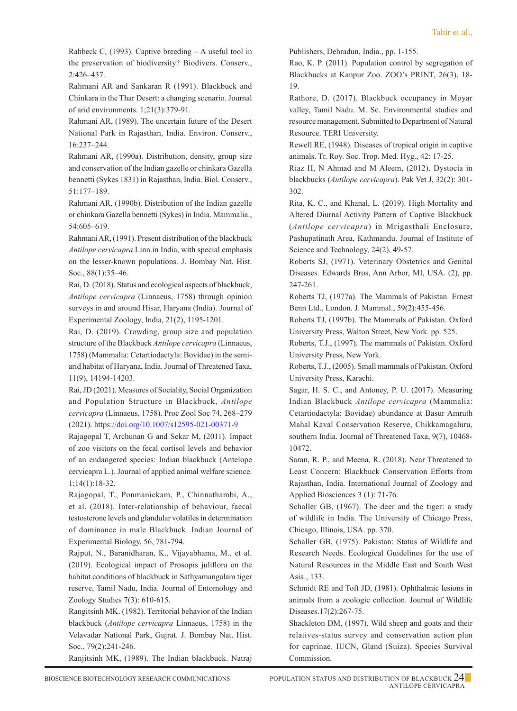Rahbeck C, (1993). Captive breeding – A useful tool in the preservation of biodiversity? Biodivers. Conserv., 2:426–437.

 Rahmani AR and Sankaran R (1991). Blackbuck and Chinkara in the Thar Desert: a changing scenario. Journal of arid environments. 1;21(3):379-91.

 Rahmani AR, (1989). The uncertain future of the Desert National Park in Rajasthan, India. Environ. Conserv., 16:237–244.

 Rahmani AR, (1990a). Distribution, density, group size and conservation of the Indian gazelle or chinkara Gazella bennetti (Sykes 1831) in Rajasthan, India. Biol. Conserv., 51:177–189.

 Rahmani AR, (1990b). Distribution of the Indian gazelle or chinkara Gazella bennetti (Sykes) in India. Mammalia., 54:605–619.

 Rahmani AR, (1991). Present distribution of the blackbuck *Antilope cervicapra* Linn.in India, with special emphasis on the lesser-known populations. J. Bombay Nat. Hist. Soc., 88(1):35–46.

 Rai, D. (2018). Status and ecological aspects of blackbuck, *Antilope cervicapra* (Linnaeus, 1758) through opinion surveys in and around Hisar, Haryana (India). Journal of Experimental Zoology, India, 21(2), 1195-1201.

 Rai, D. (2019). Crowding, group size and population structure of the Blackbuck *Antilope cervicapra* (Linnaeus, 1758) (Mammalia: Cetartiodactyla: Bovidae) in the semiarid habitat of Haryana, India. Journal of Threatened Taxa, 11(9), 14194-14203.

 Rai, JD (2021). Measures of Sociality, Social Organization and Population Structure in Blackbuck, *Antilope cervicapra* (Linnaeus, 1758). Proc Zool Soc 74, 268–279 (2021). https://doi.org/10.1007/s12595-021-00371-9

 Rajagopal T, Archunan G and Sekar M, (2011). Impact of zoo visitors on the fecal cortisol levels and behavior of an endangered species: Indian blackbuck (Antelope cervicapra L.). Journal of applied animal welfare science. 1;14(1):18-32.

 Rajagopal, T., Ponmanickam, P., Chinnathambi, A., et al. (2018). Inter-relationship of behaviour, faecal testosterone levels and glandular volatiles in determination of dominance in male Blackbuck. Indian Journal of Experimental Biology, 56, 781-794.

 Rajput, N., Baranidharan, K., Vijayabhama, M., et al. (2019). Ecological impact of Prosopis juliflora on the habitat conditions of blackbuck in Sathyamangalam tiger reserve, Tamil Nadu, India. Journal of Entomology and Zoology Studies 7(3): 610-615.

 Rangitsinh MK. (1982). Territorial behavior of the Indian blackbuck (*Antilope cervicapra* Linnaeus, 1758) in the Velavadar National Park, Gujrat. J. Bombay Nat. Hist. Soc., 79(2):241-246.

Ranjitsinh MK, (1989). The Indian blackbuck. Natraj

Publishers, Dehradun, India., pp. 1-155.

 Rao, K. P. (2011). Population control by segregation of Blackbucks at Kanpur Zoo. ZOO's PRINT, 26(3), 18- 19.

 Rathore, D. (2017). Blackbuck occupancy in Moyar valley, Tamil Nadu. M. Sc. Environmental studies and resource management. Submitted to Department of Natural Resource. TERI University.

 Rewell RE, (1948). Diseases of tropical origin in captive animals. Tr. Roy. Soc. Trop. Med. Hyg., 42: 17-25.

 Riaz H, N Ahmad and M Aleem, (2012). Dystocia in blackbucks (*Antilope cervicapra*). Pak Vet J, 32(2): 301- 302.

 Rita, K. C., and Khanal, L. (2019). High Mortality and Altered Diurnal Activity Pattern of Captive Blackbuck (*Antilope cervicapra*) in Mrigasthali Enclosure, Pashupatinath Area, Kathmandu. Journal of Institute of Science and Technology, 24(2), 49-57.

 Roberts SJ, (1971). Veterinary Obstetrics and Genital Diseases. Edwards Bros, Ann Arbor, MI, USA. (2), pp. 247-261.

 Roberts TJ, (1977a). The Mammals of Pakistan. Ernest Benn Ltd., London. J. Mammal., 59(2):455-456.

 Roberts TJ, (1997b). The Mammals of Pakistan. Oxford University Press, Walton Street, New York. pp. 525.

 Roberts, T.J., (1997). The mammals of Pakistan. Oxford University Press, New York.

 Roberts, T.J., (2005). Small mammals of Pakistan. Oxford University Press, Karachi.

Sagar, H. S. C., and Antoney, P. U. (2017). Measuring Indian Blackbuck *Antilope cervicapra* (Mammalia: Cetartiodactyla: Bovidae) abundance at Basur Amruth Mahal Kaval Conservation Reserve, Chikkamagaluru, southern India. Journal of Threatened Taxa, 9(7), 10468- 10472.

Saran, R. P., and Meena, R. (2018). Near Threatened to Least Concern: Blackbuck Conservation Efforts from Rajasthan, India. International Journal of Zoology and Applied Biosciences 3 (1): 71-76.

Schaller GB, (1967). The deer and the tiger: a study of wildlife in India. The University of Chicago Press, Chicago, Illinois, USA. pp. 370.

Schaller GB, (1975). Pakistan: Status of Wildlife and Research Needs. Ecological Guidelines for the use of Natural Resources in the Middle East and South West Asia., 133.

Schmidt RE and Toft JD, (1981). Ophthalmic lesions in animals from a zoologic collection. Journal of Wildlife Diseases.17(2):267-75.

Shackleton DM, (1997). Wild sheep and goats and their relatives-status survey and conservation action plan for caprinae. IUCN, Gland (Suiza). Species Survival Commission.